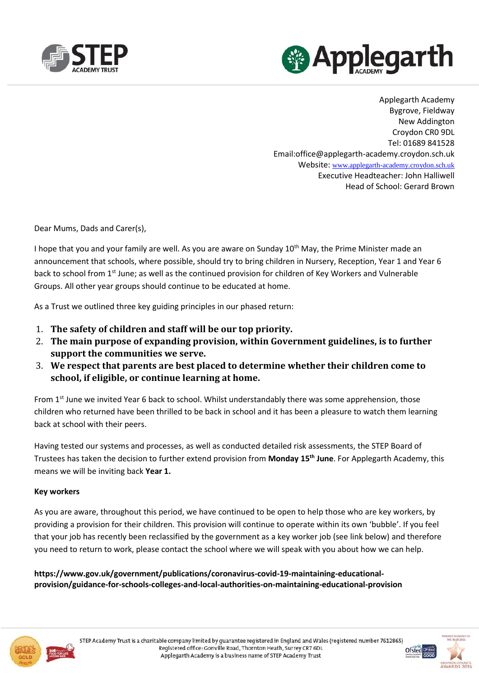



Dear Mums, Dads and Carer(s),

I hope that you and your family are well. As you are aware on Sunday 10<sup>th</sup> May, the Prime Minister made an announcement that schools, where possible, should try to bring children in Nursery, Reception, Year 1 and Year 6 back to school from 1<sup>st</sup> June; as well as the continued provision for children of Key Workers and Vulnerable Groups. All other year groups should continue to be educated at home.

As a Trust we outlined three key guiding principles in our phased return:

- 1. **The safety of children and staff will be our top priority.**
- 2. **The main purpose of expanding provision, within Government guidelines, is to further support the communities we serve.**
- 3. **We respect that parents are best placed to determine whether their children come to school, if eligible, or continue learning at home.**

From 1st June we invited Year 6 back to school. Whilst understandably there was some apprehension, those children who returned have been thrilled to be back in school and it has been a pleasure to watch them learning back at school with their peers.

Having tested our systems and processes, as well as conducted detailed risk assessments, the STEP Board of Trustees has taken the decision to further extend provision from **Monday 15th June**. For Applegarth Academy, this means we will be inviting back **Year 1.** 

### **Key workers**

As you are aware, throughout this period, we have continued to be open to help those who are key workers, by providing a provision for their children. This provision will continue to operate within its own 'bubble'. If you feel that your job has recently been reclassified by the government as a key worker job (see link below) and therefore you need to return to work, please contact the school where we will speak with you about how we can help.

**https://www.gov.uk/government/publications/coronavirus-covid-19-maintaining-educationalprovision/guidance-for-schools-colleges-and-local-authorities-on-maintaining-educational-provision**



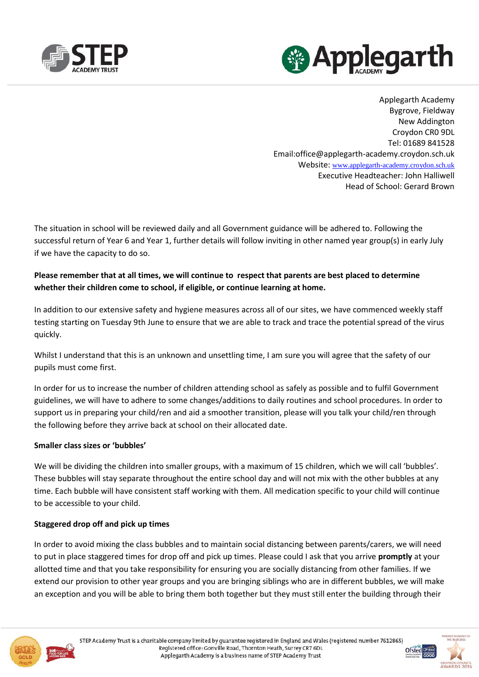



The situation in school will be reviewed daily and all Government guidance will be adhered to. Following the successful return of Year 6 and Year 1, further details will follow inviting in other named year group(s) in early July if we have the capacity to do so.

# **Please remember that at all times, we will continue to respect that parents are best placed to determine whether their children come to school, if eligible, or continue learning at home.**

In addition to our extensive safety and hygiene measures across all of our sites, we have commenced weekly staff testing starting on Tuesday 9th June to ensure that we are able to track and trace the potential spread of the virus quickly.

Whilst I understand that this is an unknown and unsettling time, I am sure you will agree that the safety of our pupils must come first.

In order for us to increase the number of children attending school as safely as possible and to fulfil Government guidelines, we will have to adhere to some changes/additions to daily routines and school procedures. In order to support us in preparing your child/ren and aid a smoother transition, please will you talk your child/ren through the following before they arrive back at school on their allocated date.

### **Smaller class sizes or 'bubbles'**

We will be dividing the children into smaller groups, with a maximum of 15 children, which we will call 'bubbles'. These bubbles will stay separate throughout the entire school day and will not mix with the other bubbles at any time. Each bubble will have consistent staff working with them. All medication specific to your child will continue to be accessible to your child.

### **Staggered drop off and pick up times**

In order to avoid mixing the class bubbles and to maintain social distancing between parents/carers, we will need to put in place staggered times for drop off and pick up times. Please could I ask that you arrive **promptly** at your allotted time and that you take responsibility for ensuring you are socially distancing from other families. If we extend our provision to other year groups and you are bringing siblings who are in different bubbles, we will make an exception and you will be able to bring them both together but they must still enter the building through their



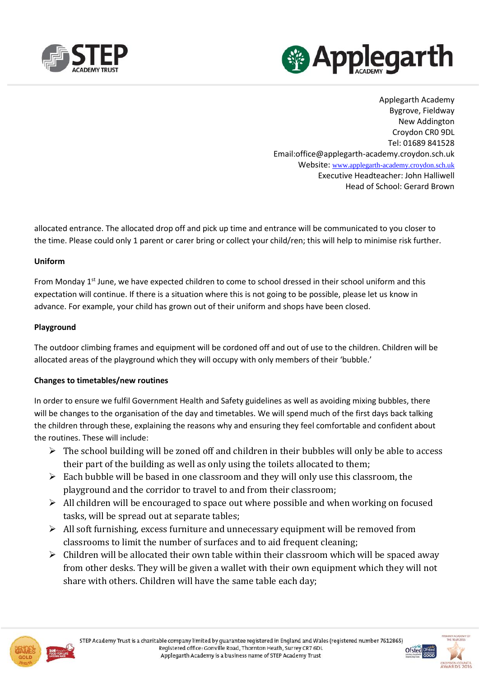



allocated entrance. The allocated drop off and pick up time and entrance will be communicated to you closer to the time. Please could only 1 parent or carer bring or collect your child/ren; this will help to minimise risk further.

### **Uniform**

From Monday 1<sup>st</sup> June, we have expected children to come to school dressed in their school uniform and this expectation will continue. If there is a situation where this is not going to be possible, please let us know in advance. For example, your child has grown out of their uniform and shops have been closed.

### **Playground**

The outdoor climbing frames and equipment will be cordoned off and out of use to the children. Children will be allocated areas of the playground which they will occupy with only members of their 'bubble.'

### **Changes to timetables/new routines**

In order to ensure we fulfil Government Health and Safety guidelines as well as avoiding mixing bubbles, there will be changes to the organisation of the day and timetables. We will spend much of the first days back talking the children through these, explaining the reasons why and ensuring they feel comfortable and confident about the routines. These will include:

- $\triangleright$  The school building will be zoned off and children in their bubbles will only be able to access their part of the building as well as only using the toilets allocated to them;
- $\triangleright$  Each bubble will be based in one classroom and they will only use this classroom, the playground and the corridor to travel to and from their classroom;
- $\triangleright$  All children will be encouraged to space out where possible and when working on focused tasks, will be spread out at separate tables;
- $\triangleright$  All soft furnishing, excess furniture and unnecessary equipment will be removed from classrooms to limit the number of surfaces and to aid frequent cleaning;
- $\triangleright$  Children will be allocated their own table within their classroom which will be spaced away from other desks. They will be given a wallet with their own equipment which they will not share with others. Children will have the same table each day;



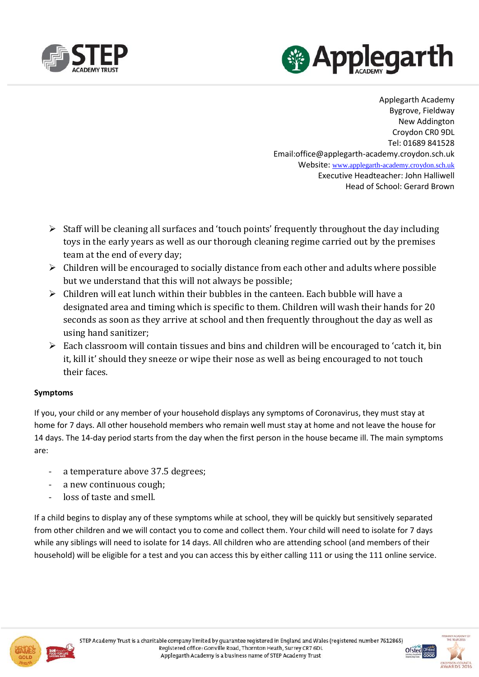



- Staff will be cleaning all surfaces and 'touch points' frequently throughout the day including toys in the early years as well as our thorough cleaning regime carried out by the premises team at the end of every day;
- $\triangleright$  Children will be encouraged to socially distance from each other and adults where possible but we understand that this will not always be possible;
- $\triangleright$  Children will eat lunch within their bubbles in the canteen. Each bubble will have a designated area and timing which is specific to them. Children will wash their hands for 20 seconds as soon as they arrive at school and then frequently throughout the day as well as using hand sanitizer;
- $\triangleright$  Each classroom will contain tissues and bins and children will be encouraged to 'catch it, bin it, kill it' should they sneeze or wipe their nose as well as being encouraged to not touch their faces.

## **Symptoms**

If you, your child or any member of your household displays any symptoms of Coronavirus, they must stay at home for 7 days. All other household members who remain well must stay at home and not leave the house for 14 days. The 14-day period starts from the day when the first person in the house became ill. The main symptoms are:

- a temperature above 37.5 degrees;
- a new continuous cough;
- loss of taste and smell.

If a child begins to display any of these symptoms while at school, they will be quickly but sensitively separated from other children and we will contact you to come and collect them. Your child will need to isolate for 7 days while any siblings will need to isolate for 14 days. All children who are attending school (and members of their household) will be eligible for a test and you can access this by either calling 111 or using the 111 online service.